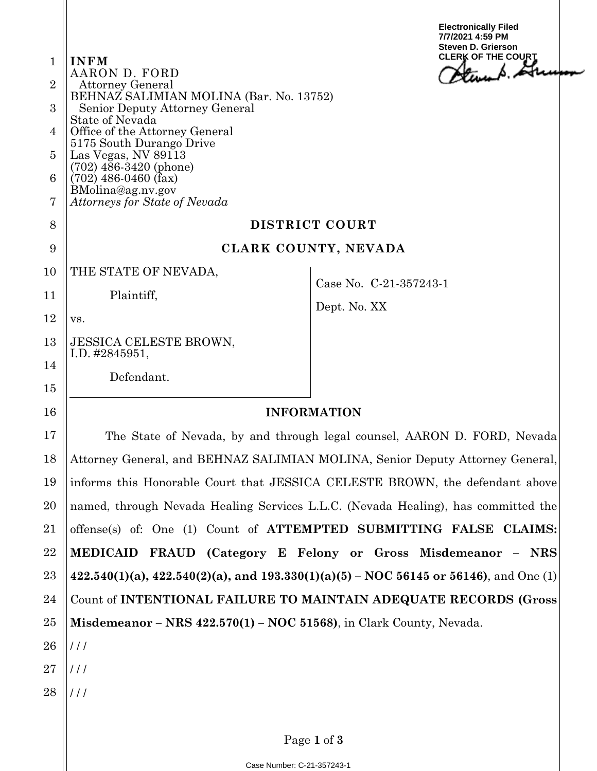| $\mathbf{1}$   | <b>INFM</b>                                                                                   | <b>Electronically Filed</b><br>7/7/2021 4:59 PM<br><b>Steven D. Grierson</b><br><b>CLERK OF THE COURT</b> |
|----------------|-----------------------------------------------------------------------------------------------|-----------------------------------------------------------------------------------------------------------|
| $\overline{2}$ | AARON D. FORD<br><b>Attorney General</b>                                                      | turn A. Atu                                                                                               |
| 3              | BEHNAZ SALIMIAN MOLINA (Bar. No. 13752)<br>Senior Deputy Attorney General                     |                                                                                                           |
| 4              | <b>State of Nevada</b><br>Office of the Attorney General                                      |                                                                                                           |
| $\overline{5}$ | 5175 South Durango Drive<br>Las Vegas, NV 89113                                               |                                                                                                           |
| 6              | $(702)$ 486-3420 (phone)<br>$(702)$ 486-0460 (fax)                                            |                                                                                                           |
| 7              | BMolina@ag.nv.gov<br>Attorneys for State of Nevada                                            |                                                                                                           |
| 8              | DISTRICT COURT                                                                                |                                                                                                           |
| 9              | CLARK COUNTY, NEVADA                                                                          |                                                                                                           |
| 10             | THE STATE OF NEVADA,                                                                          | Case No. C-21-357243-1                                                                                    |
| 11             | Plaintiff,                                                                                    | Dept. No. XX                                                                                              |
| 12             | VS.                                                                                           |                                                                                                           |
| 13             | <b>JESSICA CELESTE BROWN,</b><br>I.D. $\#2845951$ ,                                           |                                                                                                           |
| 14<br>15       | Defendant.                                                                                    |                                                                                                           |
| 16             | <b>INFORMATION</b>                                                                            |                                                                                                           |
| 17             | The State of Nevada, by and through legal counsel, AARON D. FORD, Nevada                      |                                                                                                           |
| 18             | Attorney General, and BEHNAZ SALIMIAN MOLINA, Senior Deputy Attorney General,                 |                                                                                                           |
| 19             | informs this Honorable Court that JESSICA CELESTE BROWN, the defendant above                  |                                                                                                           |
| 20             | named, through Nevada Healing Services L.L.C. (Nevada Healing), has committed the             |                                                                                                           |
| 21             | offense(s) of: One (1) Count of ATTEMPTED SUBMITTING FALSE CLAIMS:                            |                                                                                                           |
| 22             | <b>MEDICAID</b>                                                                               | FRAUD (Category E Felony or Gross Misdemeanor - NRS)                                                      |
| 23             | $422.540(1)(a)$ , $422.540(2)(a)$ , and $193.330(1)(a)(5)$ – NOC 56145 or 56146), and One (1) |                                                                                                           |
| 24             | Count of INTENTIONAL FAILURE TO MAINTAIN ADEQUATE RECORDS (Gross                              |                                                                                                           |
| 25             | Misdemeanor – NRS $422.570(1)$ – NOC 51568), in Clark County, Nevada.                         |                                                                                                           |
| 26             | $\frac{1}{1}$                                                                                 |                                                                                                           |
| 27             | $\frac{1}{1}$                                                                                 |                                                                                                           |
| 28             | $\frac{1}{1}$                                                                                 |                                                                                                           |
|                |                                                                                               |                                                                                                           |

Page **1** of **3**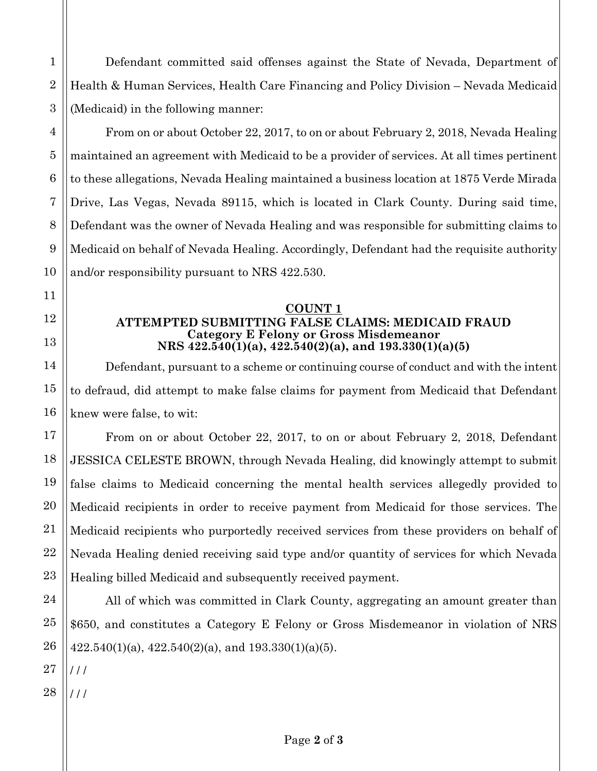Defendant committed said offenses against the State of Nevada, Department of Health & Human Services, Health Care Financing and Policy Division – Nevada Medicaid (Medicaid) in the following manner:

From on or about October 22, 2017, to on or about February 2, 2018, Nevada Healing maintained an agreement with Medicaid to be a provider of services. At all times pertinent to these allegations, Nevada Healing maintained a business location at 1875 Verde Mirada Drive, Las Vegas, Nevada 89115, which is located in Clark County. During said time, Defendant was the owner of Nevada Healing and was responsible for submitting claims to Medicaid on behalf of Nevada Healing. Accordingly, Defendant had the requisite authority and/or responsibility pursuant to NRS 422.530.

## **COUNT 1 ATTEMPTED SUBMITTING FALSE CLAIMS: MEDICAID FRAUD Category E Felony or Gross Misdemeanor NRS 422.540(1)(a), 422.540(2)(a), and 193.330(1)(a)(5)**

Defendant, pursuant to a scheme or continuing course of conduct and with the intent to defraud, did attempt to make false claims for payment from Medicaid that Defendant knew were false, to wit:

From on or about October 22, 2017, to on or about February 2, 2018, Defendant JESSICA CELESTE BROWN, through Nevada Healing, did knowingly attempt to submit false claims to Medicaid concerning the mental health services allegedly provided to Medicaid recipients in order to receive payment from Medicaid for those services. The Medicaid recipients who purportedly received services from these providers on behalf of Nevada Healing denied receiving said type and/or quantity of services for which Nevada Healing billed Medicaid and subsequently received payment.

All of which was committed in Clark County, aggregating an amount greater than \$650, and constitutes a Category E Felony or Gross Misdemeanor in violation of NRS  $422.540(1)(a)$ ,  $422.540(2)(a)$ , and  $193.330(1)(a)(5)$ .

/ / /

/ / /

1

2